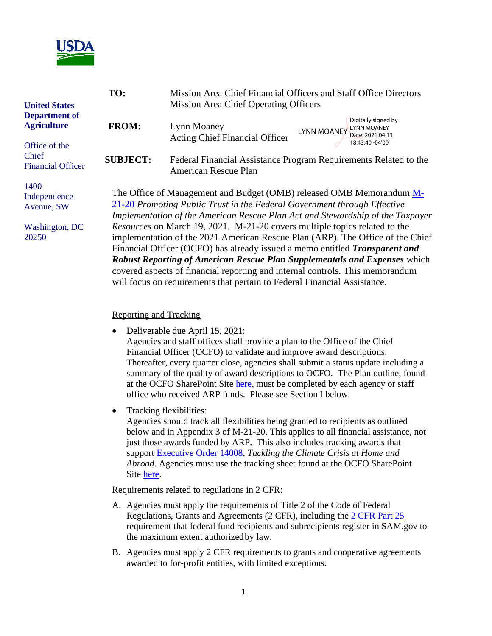

| <b>United States</b><br><b>Department of</b><br><b>Agriculture</b><br>Office of the<br>Chief<br><b>Financial Officer</b> | TO:                                                     | Mission Area Chief Financial Officers and Staff Office Directors<br><b>Mission Area Chief Operating Officers</b>                                                                                                                                                                                                                                                                                                                                                                                                                                                                                                                                                                                                            |  |
|--------------------------------------------------------------------------------------------------------------------------|---------------------------------------------------------|-----------------------------------------------------------------------------------------------------------------------------------------------------------------------------------------------------------------------------------------------------------------------------------------------------------------------------------------------------------------------------------------------------------------------------------------------------------------------------------------------------------------------------------------------------------------------------------------------------------------------------------------------------------------------------------------------------------------------------|--|
|                                                                                                                          | <b>FROM:</b>                                            | Digitally signed by<br>Lynn Moaney<br><b>LYNN MOANEY</b><br><b>LYNN MOANEY</b><br>Date: 2021.04.13<br><b>Acting Chief Financial Officer</b>                                                                                                                                                                                                                                                                                                                                                                                                                                                                                                                                                                                 |  |
|                                                                                                                          | <b>SUBJECT:</b>                                         | 18:43:40 -04'00'<br>Federal Financial Assistance Program Requirements Related to the<br><b>American Rescue Plan</b>                                                                                                                                                                                                                                                                                                                                                                                                                                                                                                                                                                                                         |  |
| 1400<br>Independence<br>Avenue, SW<br>Washington, DC<br>20250                                                            |                                                         | The Office of Management and Budget (OMB) released OMB Memorandum M-<br>21-20 Promoting Public Trust in the Federal Government through Effective<br>Implementation of the American Rescue Plan Act and Stewardship of the Taxpayer<br>Resources on March 19, 2021. M-21-20 covers multiple topics related to the<br>implementation of the 2021 American Rescue Plan (ARP). The Office of the Chief<br>Financial Officer (OCFO) has already issued a memo entitled Transparent and<br>Robust Reporting of American Rescue Plan Supplementals and Expenses which<br>covered aspects of financial reporting and internal controls. This memorandum<br>will focus on requirements that pertain to Federal Financial Assistance. |  |
|                                                                                                                          | <b>Reporting and Tracking</b><br>$\bullet$<br>$\bullet$ | Deliverable due April 15, 2021:<br>Agencies and staff offices shall provide a plan to the Office of the Chief<br>Financial Officer (OCFO) to validate and improve award descriptions.<br>Thereafter, every quarter close, agencies shall submit a status update including a<br>summary of the quality of award descriptions to OCFO. The Plan outline, found<br>at the OCFO SharePoint Site here, must be completed by each agency or staff<br>office who received ARP funds. Please see Section I below.<br><b>Tracking flexibilities:</b>                                                                                                                                                                                 |  |

Agencies should track all flexibilities being granted to recipients as outlined below and in Appendix 3 of M-21-20. This applies to all financial assistance, not just those awards funded by ARP. This also includes tracking awards that support [Executive Order 14008,](https://www.federalregister.gov/documents/2021/02/01/2021-02177/tackling-the-climate-crisis-at-home-and-abroad) *Tackling the Climate Crisis at Home and Abroad*. Agencies must use the tracking sheet found at the OCFO SharePoint Site [here](https://usdagcc.sharepoint.com/sites/ocfo/TARD/FFAC/American%20Rescue%20Plan/Forms/AllItems.aspx?viewid=082eb3bf%2D7c88%2D4be5%2D9e5c%2D2973cf58a1bc&id=%2Fsites%2Focfo%2FTARD%2FFFAC%2FAmerican%20Rescue%20Plan%2FTracking%20Flexibilities).

## Requirements related to regulations in 2 CFR:

- A. Agencies must apply the requirements of Title 2 of the Code of Federal Regulations, Grants and Agreements (2 CFR), including th[e 2 CFR Part 25](https://www.ecfr.gov/cgi-bin/text-idx?tpl=/ecfrbrowse/Title02/2cfr25_main_02.tpl) requirement that federal fund recipients and subrecipients register in SAM.gov to the maximum extent authorized by law.
- B. Agencies must apply 2 CFR requirements to grants and cooperative agreements awarded to for-profit entities, with limited exceptions.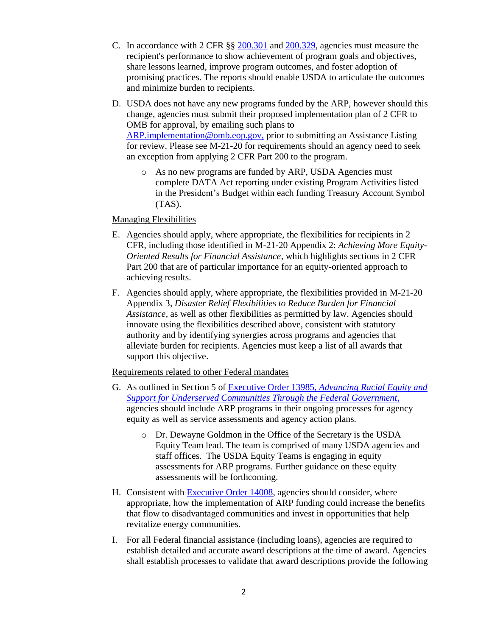- C. In accordance with 2 CFR §§ [200.301](https://www.ecfr.gov/cgi-bin/text-idx?SID=78a6a0148cea17b65dd2f6a768f1b324&mc=true&node=pt2.1.200&rgn=div5#se2.1.200_1301) and [200.329,](https://www.ecfr.gov/cgi-bin/text-idx?SID=78a6a0148cea17b65dd2f6a768f1b324&mc=true&node=pt2.1.200&rgn=div5#se2.1.200_1329) agencies must measure the recipient's performance to show achievement of program goals and objectives, share lessons learned, improve program outcomes, and foster adoption of promising practices. The reports should enable USDA to articulate the outcomes and minimize burden to recipients.
- D. USDA does not have any new programs funded by the ARP, however should this change, agencies must submit their proposed implementation plan of 2 CFR to OMB for approval, by emailing such plans to [ARP.implementation@omb.eop.gov,](mailto:ARP.implementation@omb.eop.gov) prior to submitting an Assistance Listing for review. Please see M-21-20 for requirements should an agency need to seek an exception from applying 2 CFR Part 200 to the program.
	- o As no new programs are funded by ARP, USDA Agencies must complete DATA Act reporting under existing Program Activities listed in the President's Budget within each funding Treasury Account Symbol (TAS).

## Managing Flexibilities

- E. Agencies should apply, where appropriate, the flexibilities for recipients in 2 CFR, including those identified in M-21-20 Appendix 2: *Achieving More Equity-Oriented Results for Financial Assistance*, which highlights sections in 2 CFR Part 200 that are of particular importance for an equity-oriented approach to achieving results.
- F. Agencies should apply, where appropriate, the flexibilities provided in M-21-20 Appendix 3, *Disaster Relief Flexibilities to Reduce Burden for Financial Assistance*, as well as other flexibilities as permitted by law. Agencies should innovate using the flexibilities described above, consistent with statutory authority and by identifying synergies across programs and agencies that alleviate burden for recipients. Agencies must keep a list of all awards that support this objective.

## Requirements related to other Federal mandates

- G. As outlined in Section 5 of Executive Order 13985, *[Advancing Racial Equity and](https://www.federalregister.gov/documents/2021/01/25/2021-01753/advancing-racial-equity-and-support-for-underserved-communities-through-the-federal-government)  [Support for Underserved Communities Through the Federal Government](https://www.federalregister.gov/documents/2021/01/25/2021-01753/advancing-racial-equity-and-support-for-underserved-communities-through-the-federal-government)*, agencies should include ARP programs in their ongoing processes for agency equity as well as service assessments and agency action plans.
	- o Dr. Dewayne Goldmon in the Office of the Secretary is the USDA Equity Team lead. The team is comprised of many USDA agencies and staff offices. The USDA Equity Teams is engaging in equity assessments for ARP programs. Further guidance on these equity assessments will be forthcoming.
- H. Consistent with [Executive Order 14008,](https://www.federalregister.gov/documents/2021/02/01/2021-02177/tackling-the-climate-crisis-at-home-and-abroad) agencies should consider, where appropriate, how the implementation of ARP funding could increase the benefits that flow to disadvantaged communities and invest in opportunities that help revitalize energy communities.
- I. For all Federal financial assistance (including loans), agencies are required to establish detailed and accurate award descriptions at the time of award. Agencies shall establish processes to validate that award descriptions provide the following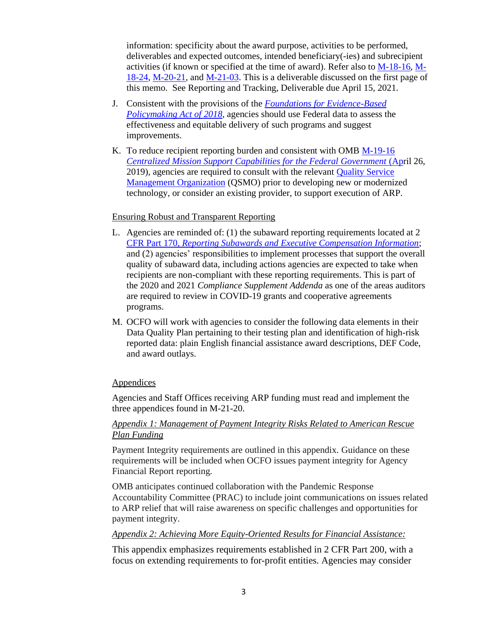information: specificity about the award purpose, activities to be performed, deliverables and expected outcomes, intended beneficiary(-ies) and subrecipient activities (if known or specified at the time of award). Refer also to [M-18-16,](https://www.whitehouse.gov/wp-content/uploads/2018/06/M-18-16.pdf) [M-](https://www.whitehouse.gov/wp-content/uploads/2018/09/M-18-24.pdf)[18-24,](https://www.whitehouse.gov/wp-content/uploads/2018/09/M-18-24.pdf) [M-20-21,](https://www.whitehouse.gov/wp-content/uploads/2020/04/Implementation-Guidance-for-Supplemental-Funding-Provided-in-Response.pdf) and [M-21-03.](https://www.whitehouse.gov/wp-content/uploads/2020/11/M-21-03.pdf) This is a deliverable discussed on the first page of this memo. See Reporting and Tracking, Deliverable due April 15, 2021.

- J. Consistent with the provisions of the *[Foundations for Evidence-Based](https://www.congress.gov/bill/115th-congress/house-bill/4174/text?overview=closed)  [Policymaking Act of 2018](https://www.congress.gov/bill/115th-congress/house-bill/4174/text?overview=closed)*, agencies should use Federal data to assess the effectiveness and equitable delivery of such programs and suggest improvements.
- K. To reduce recipient reporting burden and consistent with OMB [M-19-16](https://www.whitehouse.gov/wp-content/uploads/2019/04/M-19-16.pdf)  *[Centralized Mission Support Capabilities for the Federal Government](https://www.whitehouse.gov/wp-content/uploads/2019/04/M-19-16.pdf) (April 26,* 2019), agencies are required to consult with the relevant [Quality Service](https://ussm.gsa.gov/qsmo/)  [Management Organization](https://ussm.gsa.gov/qsmo/) (QSMO) prior to developing new or modernized technology, or consider an existing provider, to support execution of ARP.

## Ensuring Robust and Transparent Reporting

- L. Agencies are reminded of: (1) the subaward reporting requirements located at 2 CFR Part 170, *[Reporting Subawards and Executive Compensation Information](https://www.ecfr.gov/cgi-bin/text-idx?tpl=/ecfrbrowse/Title02/2cfr170_main_02.tpl)*; and (2) agencies' responsibilities to implement processes that support the overall quality of subaward data, including actions agencies are expected to take when recipients are non-compliant with these reporting requirements. This is part of the 2020 and 2021 *Compliance Supplement Addenda* as one of the areas auditors are required to review in COVID-19 grants and cooperative agreements programs.
- M. OCFO will work with agencies to consider the following data elements in their Data Quality Plan pertaining to their testing plan and identification of high-risk reported data: plain English financial assistance award descriptions, DEF Code, and award outlays.

## Appendices

Agencies and Staff Offices receiving ARP funding must read and implement the three appendices found in M-21-20.

## *Appendix 1: Management of Payment Integrity Risks Related to American Rescue Plan Funding*

Payment Integrity requirements are outlined in this appendix. Guidance on these requirements will be included when OCFO issues payment integrity for Agency Financial Report reporting.

OMB anticipates continued collaboration with the Pandemic Response Accountability Committee (PRAC) to include joint communications on issues related to ARP relief that will raise awareness on specific challenges and opportunities for payment integrity.

## *Appendix 2: Achieving More Equity-Oriented Results for Financial Assistance:*

This appendix emphasizes requirements established in 2 CFR Part 200, with a focus on extending requirements to for-profit entities. Agencies may consider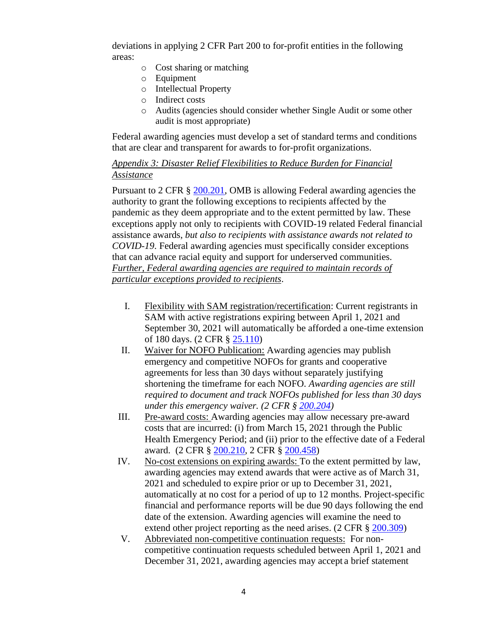deviations in applying 2 CFR Part 200 to for-profit entities in the following areas:

- o Cost sharing or matching
- o Equipment
- o Intellectual Property
- o Indirect costs
- o Audits (agencies should consider whether Single Audit or some other audit is most appropriate)

Federal awarding agencies must develop a set of standard terms and conditions that are clear and transparent for awards to for-profit organizations.

# *Appendix 3: Disaster Relief Flexibilities to Reduce Burden for Financial Assistance*

Pursuant to 2 CFR § [200.201,](https://www.ecfr.gov/cgi-bin/text-idx?node=se2.1.200_1201&rgn=div8) OMB is allowing Federal awarding agencies the authority to grant the following exceptions to recipients affected by the pandemic as they deem appropriate and to the extent permitted by law. These exceptions apply not only to recipients with COVID-19 related Federal financial assistance awards, *but also to recipients with assistance awards not related to COVID-19*. Federal awarding agencies must specifically consider exceptions that can advance racial equity and support for underserved communities. *Further, Federal awarding agencies are required to maintain records of particular exceptions provided to recipients*.

- I. Flexibility with SAM registration/recertification: Current registrants in SAM with active registrations expiring between April 1, 2021 and September 30, 2021 will automatically be afforded a one-time extension of 180 days. (2 CFR § [25.110\)](https://www.ecfr.gov/cgi-bin/text-idx?node=pt2.1.25&rgn=div5#se2.1.25_1110)
- II. Waiver for NOFO Publication: Awarding agencies may publish emergency and competitive NOFOs for grants and cooperative agreements for less than 30 days without separately justifying shortening the timeframe for each NOFO. *Awarding agencies are still required to document and track NOFOs published for less than 30 days under this emergency waiver. (2 CFR § [200.204\)](https://www.ecfr.gov/cgi-bin/text-idx?SID=f3a5eefbbd53f7112ca5c92865bee79e&mc=true&node=se2.1.200_1204&rgn=div8)*
- III. Pre-award costs: Awarding agencies may allow necessary pre-award costs that are incurred: (i) from March 15, 2021 through the Public Health Emergency Period; and (ii) prior to the effective date of a Federal award. (2 CFR § [200.210,](https://www.ecfr.gov/cgi-bin/text-idx?SID=f3a5eefbbd53f7112ca5c92865bee79e&mc=true&node=se2.1.200_1210&rgn=div8) 2 CFR § [200.458\)](https://www.ecfr.gov/cgi-bin/text-idx?SID=f3a5eefbbd53f7112ca5c92865bee79e&mc=true&node=se2.1.200_1458&rgn=div8)
- IV. No-cost extensions on expiring awards: To the extent permitted by law, awarding agencies may extend awards that were active as of March 31, 2021 and scheduled to expire prior or up to December 31, 2021, automatically at no cost for a period of up to 12 months. Project-specific financial and performance reports will be due 90 days following the end date of the extension. Awarding agencies will examine the need to extend other project reporting as the need arises. (2 CFR § [200.309\)](https://www.ecfr.gov/cgi-bin/text-idx?SID=f3a5eefbbd53f7112ca5c92865bee79e&mc=true&node=se2.1.200_1309&rgn=div8)
- V. Abbreviated non-competitive continuation requests: For noncompetitive continuation requests scheduled between April 1, 2021 and December 31, 2021, awarding agencies may accept a brief statement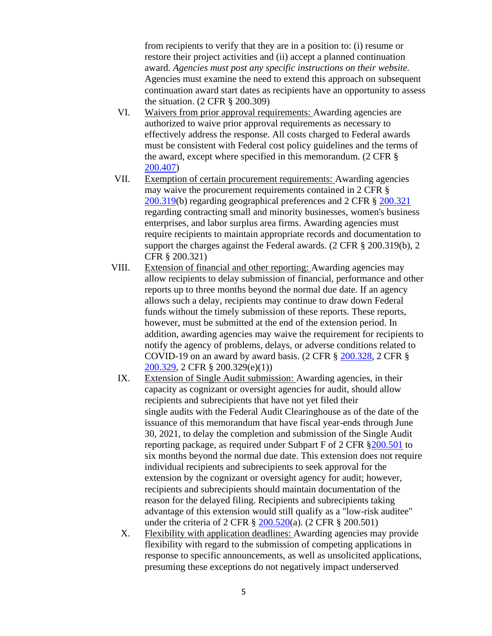from recipients to verify that they are in a position to: (i) resume or restore their project activities and (ii) accept a planned continuation award. *Agencies must post any specific instructions on their website.* Agencies must examine the need to extend this approach on subsequent continuation award start dates as recipients have an opportunity to assess the situation. (2 CFR § 200.309)

- VI. Waivers from prior approval requirements: Awarding agencies are authorized to waive prior approval requirements as necessary to effectively address the response. All costs charged to Federal awards must be consistent with Federal cost policy guidelines and the terms of the award, except where specified in this memorandum. (2 CFR § [200.407\)](https://www.ecfr.gov/cgi-bin/text-idx?SID=f3a5eefbbd53f7112ca5c92865bee79e&mc=true&node=se2.1.200_1407&rgn=div8)
- VII. Exemption of certain procurement requirements: Awarding agencies may waive the procurement requirements contained in 2 CFR § [200.319\(](https://www.ecfr.gov/cgi-bin/text-idx?SID=f3a5eefbbd53f7112ca5c92865bee79e&mc=true&node=se2.1.200_1319&rgn=div8)b) regarding geographical preferences and 2 CFR § [200.321](https://www.ecfr.gov/cgi-bin/text-idx?SID=f3a5eefbbd53f7112ca5c92865bee79e&mc=true&node=se2.1.200_1321&rgn=div8) regarding contracting small and minority businesses, women's business enterprises, and labor surplus area firms. Awarding agencies must require recipients to maintain appropriate records and documentation to support the charges against the Federal awards. (2 CFR § 200.319(b), 2 CFR § 200.321)
- VIII. Extension of financial and other reporting: Awarding agencies may allow recipients to delay submission of financial, performance and other reports up to three months beyond the normal due date. If an agency allows such a delay, recipients may continue to draw down Federal funds without the timely submission of these reports. These reports, however, must be submitted at the end of the extension period. In addition, awarding agencies may waive the requirement for recipients to notify the agency of problems, delays, or adverse conditions related to COVID-19 on an award by award basis. (2 CFR § [200.328,](https://www.ecfr.gov/cgi-bin/text-idx?SID=f3a5eefbbd53f7112ca5c92865bee79e&mc=true&node=se2.1.200_1328&rgn=div8) 2 CFR § [200.329,](https://www.ecfr.gov/cgi-bin/text-idx?SID=f3a5eefbbd53f7112ca5c92865bee79e&mc=true&node=se2.1.200_1329&rgn=div8) 2 CFR § 200.329(e)(1))
	- IX. Extension of Single Audit submission: Awarding agencies, in their capacity as cognizant or oversight agencies for audit, should allow recipients and subrecipients that have not yet filed their single audits with the Federal Audit Clearinghouse as of the date of the issuance of this memorandum that have fiscal year-ends through June 30, 2021, to delay the completion and submission of the Single Audit reporting package, as required under Subpart F of 2 CFR [§200.501](https://www.ecfr.gov/cgi-bin/text-idx?SID=f3a5eefbbd53f7112ca5c92865bee79e&mc=true&node=se2.1.200_1501&rgn=div8) to six months beyond the normal due date. This extension does not require individual recipients and subrecipients to seek approval for the extension by the cognizant or oversight agency for audit; however, recipients and subrecipients should maintain documentation of the reason for the delayed filing. Recipients and subrecipients taking advantage of this extension would still qualify as a "low-risk auditee" under the criteria of 2 CFR § [200.520\(](https://www.ecfr.gov/cgi-bin/text-idx?SID=f3a5eefbbd53f7112ca5c92865bee79e&mc=true&node=se2.1.200_1520&rgn=div8)a). (2 CFR § 200.501)
	- X. Flexibility with application deadlines: Awarding agencies may provide flexibility with regard to the submission of competing applications in response to specific announcements, as well as unsolicited applications, presuming these exceptions do not negatively impact underserved